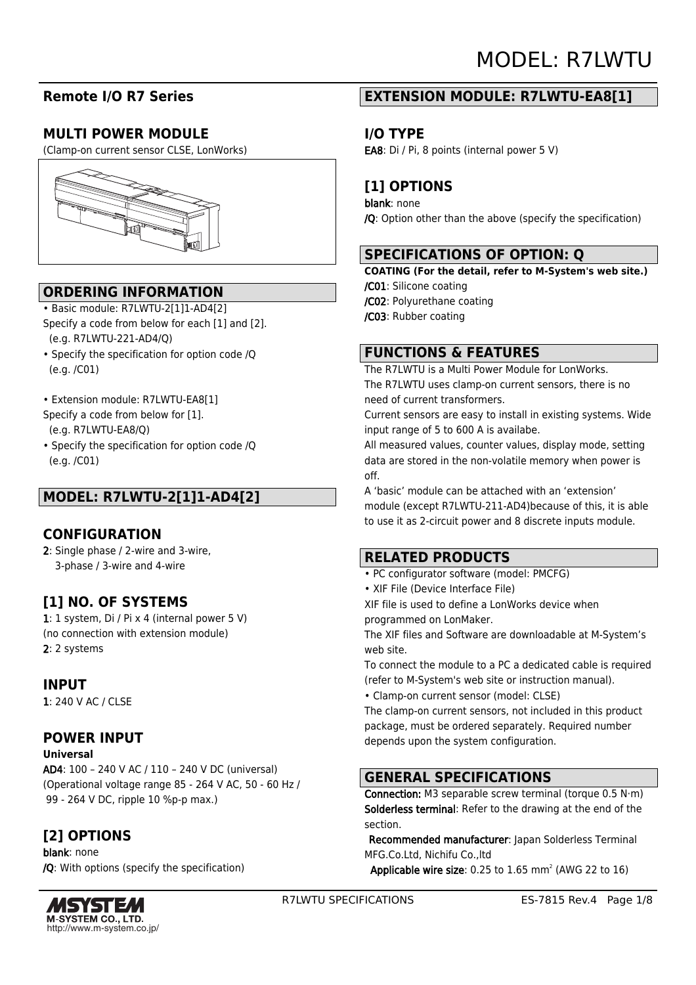# **Remote I/O R7 Series**

# **MULTI POWER MODULE**

(Clamp-on current sensor CLSE, LonWorks)



# **ORDERING INFORMATION**

- Basic module: R7LWTU-2[1]1-AD4[2] Specify a code from below for each [1] and [2]. (e.g. R7LWTU-221-AD4/Q)
- Specify the specification for option code /Q (e.g. /C01)
- Extension module: R7LWTU-EA8[1]
- Specify a code from below for [1].
- (e.g. R7LWTU-EA8/Q)
- Specify the specification for option code /Q (e.g. /C01)

# **MODEL: R7LWTU-2[1]1-AD4[2]**

### **CONFIGURATION**

2: Single phase / 2-wire and 3-wire, 3-phase / 3-wire and 4-wire

# **[1] NO. OF SYSTEMS**

1: 1 system, Di / Pi x 4 (internal power 5 V) (no connection with extension module) 2: 2 systems

### **INPUT**

1: 240 V AC / CLSE

# **POWER INPUT**

### **Universal**

AD4: 100 – 240 V AC / 110 – 240 V DC (universal) (Operational voltage range 85 - 264 V AC, 50 - 60 Hz / 99 - 264 V DC, ripple 10 %p-p max.)

# **[2] OPTIONS**

blank: none /Q: With options (specify the specification)



# **EXTENSION MODULE: R7LWTU-EA8[1]**

## **I/O TYPE**

EA8: Di / Pi, 8 points (internal power 5 V)

# **[1] OPTIONS**

blank: none /Q: Option other than the above (specify the specification)

## **SPECIFICATIONS OF OPTION: Q**

**COATING (For the detail, refer to M-System's web site.)**

- /C01: Silicone coating
- /C02: Polyurethane coating
- /C03: Rubber coating

## **FUNCTIONS & FEATURES**

The R7LWTU is a Multi Power Module for LonWorks. The R7LWTU uses clamp-on current sensors, there is no need of current transformers.

Current sensors are easy to install in existing systems. Wide input range of 5 to 600 A is availabe.

All measured values, counter values, display mode, setting data are stored in the non-volatile memory when power is off.

A 'basic' module can be attached with an 'extension' module (except R7LWTU-211-AD4)because of this, it is able to use it as 2-circuit power and 8 discrete inputs module.

# **RELATED PRODUCTS**

- PC configurator software (model: PMCFG)
- XIF File (Device Interface File)
- XIF file is used to define a LonWorks device when programmed on LonMaker.

The XIF files and Software are downloadable at M-System's web site.

To connect the module to a PC a dedicated cable is required (refer to M-System's web site or instruction manual).

• Clamp-on current sensor (model: CLSE)

The clamp-on current sensors, not included in this product package, must be ordered separately. Required number depends upon the system configuration.

# **GENERAL SPECIFICATIONS**

Connection: M3 separable screw terminal (torque 0.5 N·m) Solderless terminal: Refer to the drawing at the end of the section.

 Recommended manufacturer: Japan Solderless Terminal MFG.Co.Ltd, Nichifu Co.,ltd

**Applicable wire size:** 0.25 to  $1.65$  mm<sup>2</sup> (AWG 22 to  $16$ )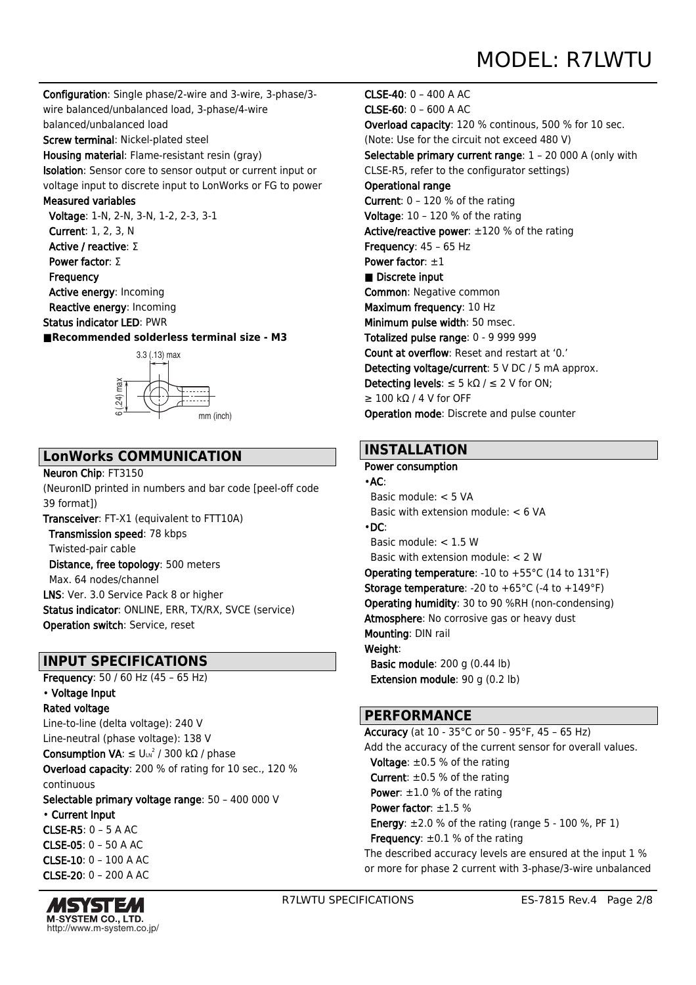Configuration: Single phase/2-wire and 3-wire, 3-phase/3 wire balanced/unbalanced load, 3-phase/4-wire balanced/unbalanced load

Screw terminal: Nickel-plated steel

Housing material: Flame-resistant resin (gray) Isolation: Sensor core to sensor output or current input or voltage input to discrete input to LonWorks or FG to power

### Measured variables

 Voltage: 1-N, 2-N, 3-N, 1-2, 2-3, 3-1 Current: 1, 2, 3, N Active / reactive: Σ Power factor: Σ **Frequency** Active energy: Incoming

 Reactive energy: Incoming Status indicator LED: PWR

**■Recommended solderless terminal size - M3**



# **LonWorks COMMUNICATION**

### Neuron Chip: FT3150

(NeuronID printed in numbers and bar code [peel-off code 39 format])

Transceiver: FT-X1 (equivalent to FTT10A) Transmission speed: 78 kbps Twisted-pair cable Distance, free topology: 500 meters Max. 64 nodes/channel LNS: Ver. 3.0 Service Pack 8 or higher Status indicator: ONLINE, ERR, TX/RX, SVCE (service) Operation switch: Service, reset

# **INPUT SPECIFICATIONS**

Frequency: 50 / 60 Hz (45 – 65 Hz) • Voltage Input Rated voltage Line-to-line (delta voltage): 240 V Line-neutral (phase voltage): 138 V **Consumption VA**: ≤ Uιη<sup>2</sup> / 300 kΩ / phase Overload capacity: 200 % of rating for 10 sec., 120 % continuous Selectable primary voltage range: 50 – 400 000 V • Current Input CLSE-R5: 0 – 5 A AC

 $CI$  SF-05: 0 – 50 A AC. CLSE-10: 0 – 100 A AC CLSE-20: 0 – 200 A AC



CLSE-40: 0 – 400 A AC CLSE-60: 0 – 600 A AC Overload capacity: 120 % continous, 500 % for 10 sec. (Note: Use for the circuit not exceed 480 V) Selectable primary current range: 1 – 20 000 A (only with CLSE-R5, refer to the configurator settings) Operational range Current: 0 – 120 % of the rating Voltage: 10 – 120 % of the rating Active/reactive power: ±120 % of the rating Frequency: 45 – 65 Hz Power factor:  $\pm 1$ ■ Discrete input Common: Negative common Maximum frequency: 10 Hz Minimum pulse width: 50 msec. Totalized pulse range: 0 - 9 999 999 Count at overflow: Reset and restart at '0.' Detecting voltage/current: 5 V DC / 5 mA approx. Detecting levels:  $\leq$  5 kΩ /  $\leq$  2 V for ON; ≥ 100 kΩ / 4 V for OFF Operation mode: Discrete and pulse counter

### **INSTALLATION**

### Power consumption

•AC: Basic module: < 5 VA Basic with extension module: < 6 VA •DC: Basic module: < 1.5 W Basic with extension module: < 2 W Operating temperature: -10 to +55°C (14 to 131°F) **Storage temperature:** -20 to  $+65^{\circ}$ C (-4 to  $+149^{\circ}$ F) Operating humidity: 30 to 90 %RH (non-condensing) Atmosphere: No corrosive gas or heavy dust Mounting: DIN rail Weight: Basic module: 200 g (0.44 lb) Extension module: 90 g (0.2 lb)

### **PERFORMANCE**

Accuracy (at 10 - 35°C or 50 - 95°F, 45 – 65 Hz) Add the accuracy of the current sensor for overall values. **Voltage:**  $\pm 0.5$  % of the rating **Current:**  $\pm 0.5$  % of the rating **Power:**  $\pm 1.0$  % of the rating Power factor: ±1.5 % **Energy**:  $\pm 2.0$  % of the rating (range 5 - 100 %, PF 1) Frequency:  $\pm 0.1$  % of the rating The described accuracy levels are ensured at the input 1 % or more for phase 2 current with 3-phase/3-wire unbalanced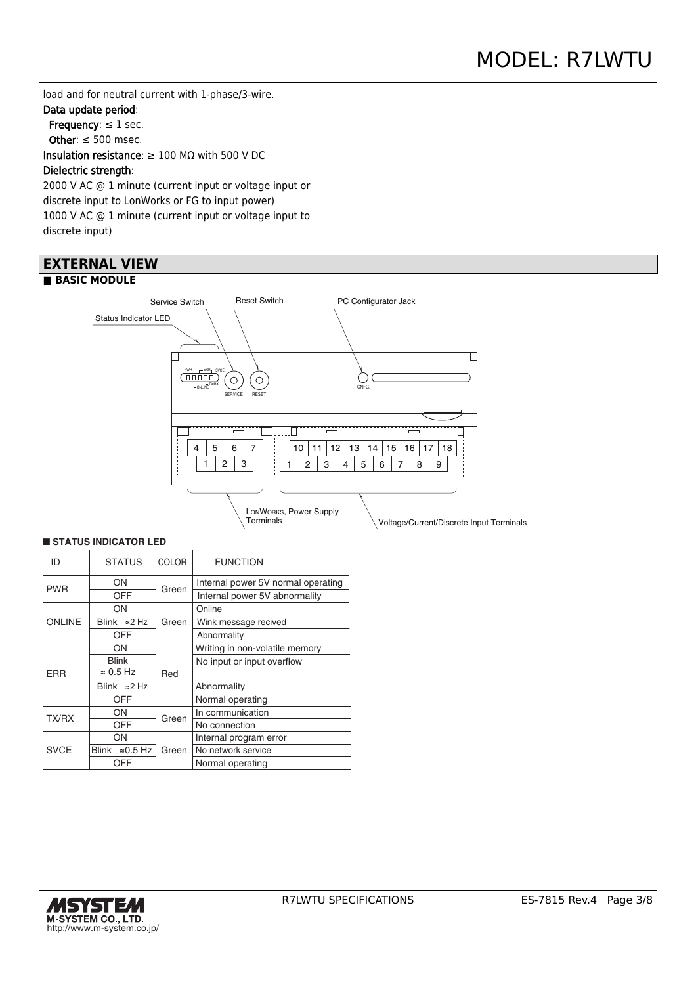load and for neutral current with 1-phase/3-wire.

### Data update period:

Frequency:  $\leq 1$  sec.

Other:  $\leq 500$  msec.

Insulation resistance: ≥ 100 MΩ with 500 V DC

### Dielectric strength:

2000 V AC @ 1 minute (current input or voltage input or discrete input to LonWorks or FG to input power) 1000 V AC @ 1 minute (current input or voltage input to discrete input)

### **EXTERNAL VIEW ■ BASIC MODULE**



#### ■ **STATUS INDICATOR LED**

| ID            | <b>STATUS</b>             | COLOR | <b>FUNCTION</b>                    |  |  |  |
|---------------|---------------------------|-------|------------------------------------|--|--|--|
| <b>PWR</b>    | OΝ                        | Green | Internal power 5V normal operating |  |  |  |
|               | OFF                       |       | Internal power 5V abnormality      |  |  |  |
|               | ON                        |       | Online                             |  |  |  |
| <b>ONLINE</b> | Blink $\approx$ 2 Hz      | Green | Wink message recived               |  |  |  |
|               | OFF                       |       | Abnormality                        |  |  |  |
|               | OΝ                        |       | Writing in non-volatile memory     |  |  |  |
|               | <b>Blink</b>              |       | No input or input overflow         |  |  |  |
| <b>FRR</b>    | $\approx 0.5$ Hz          | Red   |                                    |  |  |  |
|               | Blink $\approx$ 2 Hz      |       | Abnormality                        |  |  |  |
|               | OFF                       |       | Normal operating                   |  |  |  |
| TX/RX         | ON                        | Green | In communication                   |  |  |  |
|               | OFF                       |       | No connection                      |  |  |  |
|               | ON                        |       | Internal program error             |  |  |  |
| <b>SVCE</b>   | Blink<br>$\approx$ 0.5 Hz | Green | No network service                 |  |  |  |
|               | OFF                       |       | Normal operating                   |  |  |  |

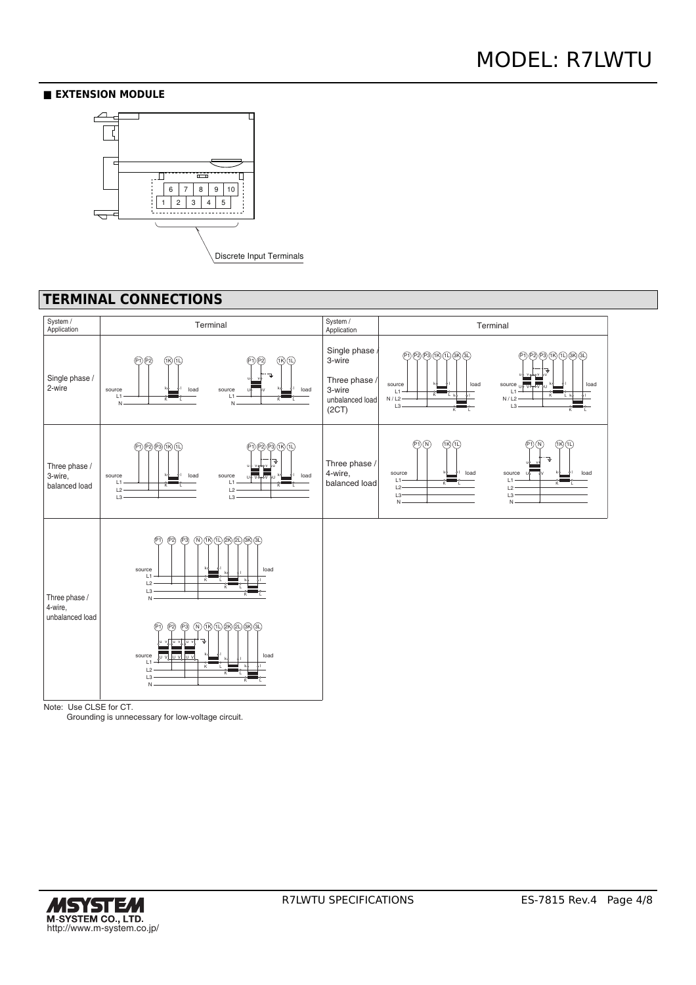### **■ EXTENSION MODULE**



# **TERMINAL CONNECTIONS**



Grounding is unnecessary for low-voltage circuit.

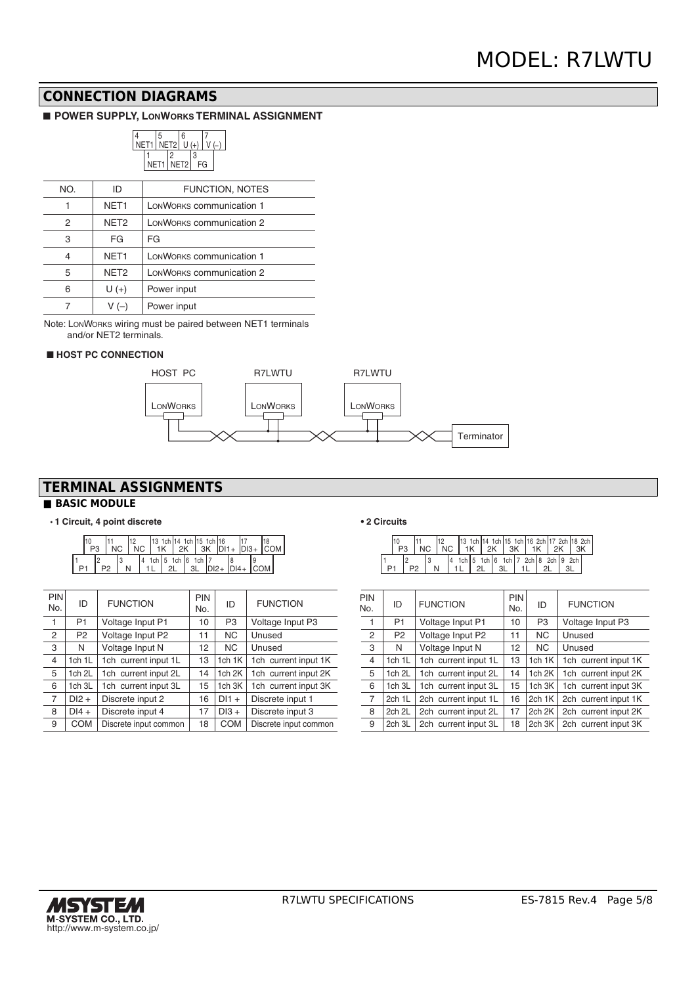# **CONNECTION DIAGRAMS**

### ■ **POWER SUPPLY, LONWORKS TERMINAL ASSIGNMENT**



| NO. | ID               | <b>FUNCTION, NOTES</b>   |
|-----|------------------|--------------------------|
|     | NET <sub>1</sub> | LONWORKS communication 1 |
| 2   | NET <sub>2</sub> | LONWORKS communication 2 |
| 3   | FG               | FG                       |
| 4   | NET <sub>1</sub> | LONWORKS communication 1 |
| 5   | NET <sub>2</sub> | LONWORKS communication 2 |
| 6   | $U(+)$           | Power input              |
|     | V (–)            | Power input              |

Note: LONWORKS wiring must be paired between NET1 terminals and/or NET2 terminals.

### ■ **HOST PC CONNECTION**



# **TERMINAL ASSIGNMENTS**

### **■ BASIC MODULE**

#### • **1 Circuit, 4 point discrete**

| P <sub>3</sub> |           | NC. |   | NC. |                                 |     | l13 1ch l14 1ch l15 1ch l16<br>$1K$   2K   3K $ D11+ D13+ COM $ |  |  |  |
|----------------|-----------|-----|---|-----|---------------------------------|-----|-----------------------------------------------------------------|--|--|--|
|                | <b>P2</b> |     | N | 14  | 1ch   5 1ch $  6$ 1ch   7<br>2l | -3L | $IDI2 + IDI4 + ICOM$                                            |  |  |  |

| <b>PIN</b><br>No. | ID             | <b>FUNCTION</b>       | PIN<br>No. | ID             | <b>FUNCTION</b>       | PIN<br>No.     |
|-------------------|----------------|-----------------------|------------|----------------|-----------------------|----------------|
| 1                 | P <sub>1</sub> | Voltage Input P1      | 10         | P <sub>3</sub> | Voltage Input P3      | 1              |
| $\overline{c}$    | P <sub>2</sub> | Voltage Input P2      | 11         | <b>NC</b>      | Unused                | $\overline{2}$ |
| 3                 | N              | Voltage Input N       | 12         | <b>NC</b>      | Unused                | 3              |
| 4                 | 1ch 1L         | 1ch current input 1L  | 13         | 1 $ch$ 1 $K$   | 1ch current input 1K  | $\overline{4}$ |
| 5                 | 1ch 2L         | 1ch current input 2L  | 14         | 1ch 2K         | 1ch current input 2K  | 5              |
| 6                 | 1ch 3L         | 1ch current input 3L  | 15         | 1ch 3K         | 1ch current input 3K  | 6              |
| $\overline{7}$    | $DI2 +$        | Discrete input 2      | 16         | $DI1 +$        | Discrete input 1      | $\overline{7}$ |
| 8                 | $DI4 +$        | Discrete input 4      | 17         | $DI3 +$        | Discrete input 3      | 8              |
| 9                 | <b>COM</b>     | Discrete input common | 18         | <b>COM</b>     | Discrete input common | 9              |

#### **• 2 Circuits**

|  |  |  |    |   | 13 1ch 14 1ch 15 1ch 16 2ch 17 2ch 18 2ch<br>1K 2K 3K I |    | 1K |  |  |
|--|--|--|----|---|---------------------------------------------------------|----|----|--|--|
|  |  |  | 21 | લ | 1ch 5 1ch 6 1ch 7 2ch 8 2ch 9 2ch                       | 11 |    |  |  |

| PIN<br>No.     | ID             | <b>FUNCTION</b>      | <b>PIN</b><br>No. | ID                | <b>FUNCTION</b>      |
|----------------|----------------|----------------------|-------------------|-------------------|----------------------|
| 1              | P <sub>1</sub> | Voltage Input P1     | 10                | P <sub>3</sub>    | Voltage Input P3     |
| $\overline{2}$ | P <sub>2</sub> | Voltage Input P2     | 11                | <b>NC</b>         | Unused               |
| 3              | N              | Voltage Input N      | 12                | <b>NC</b>         | Unused               |
| $\overline{4}$ | 1ch 1L         | 1ch current input 1L | 13                | 1ch 1K            | 1ch current input 1K |
| 5              | 1ch 2L         | 1ch current input 2L | 14                | 1ch <sub>2K</sub> | 1ch current input 2K |
| 6              | 1ch 3L         | 1ch current input 3L | 15                | 1ch 3K            | 1ch current input 3K |
| $\overline{7}$ | 2ch 1L         | 2ch current input 1L | 16                | 2ch 1K            | 2ch current input 1K |
| 8              | 2ch 2L         | 2ch current input 2L | 17                | 2ch 2K            | 2ch current input 2K |
| 9              | 2ch 3L         | 2ch current input 3L | 18                | 2ch 3K            | 2ch current input 3K |

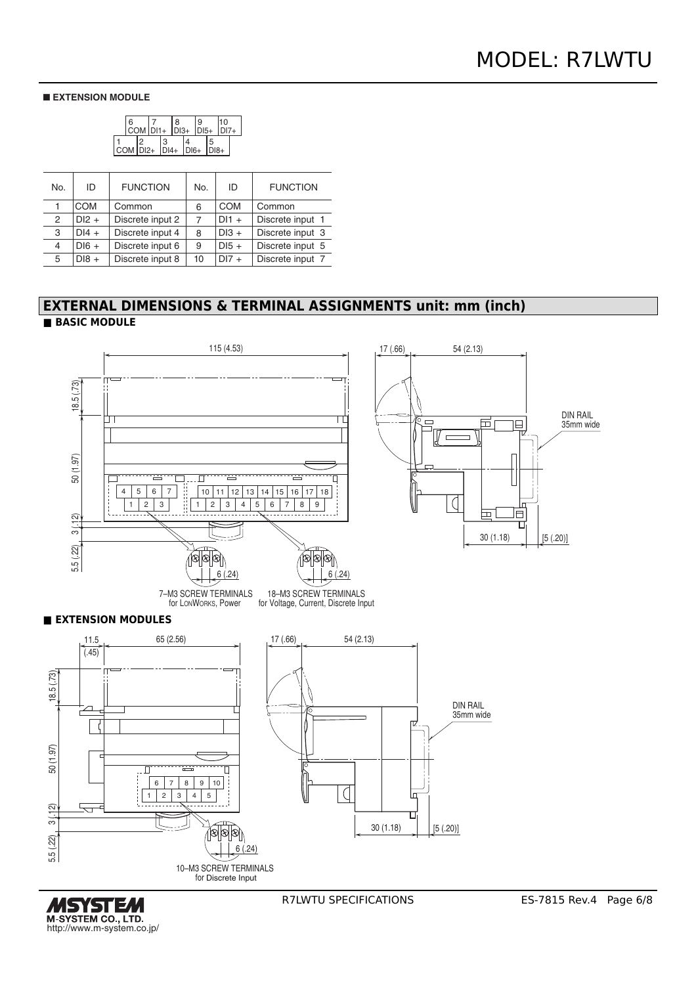### ■ **EXTENSION MODULE**



| No. | ID         | <b>FUNCTION</b>  | No. | ID         | <b>FUNCTION</b>  |
|-----|------------|------------------|-----|------------|------------------|
|     | <b>COM</b> | Common           | 6   | <b>COM</b> | Common           |
| 2   | $DI2 +$    | Discrete input 2 | 7   | $DI1 +$    | Discrete input 1 |
| 3   | $DI4 +$    | Discrete input 4 | 8   | $DI3 +$    | Discrete input 3 |
| 4   | $DI6 +$    | Discrete input 6 | 9   | $DI5 +$    | Discrete input 5 |
| 5   | $D18 +$    | Discrete input 8 | 10  | $DI7 +$    | Discrete input 7 |

### **EXTERNAL DIMENSIONS & TERMINAL ASSIGNMENTS unit: mm (inch) ■ BASIC MODULE**



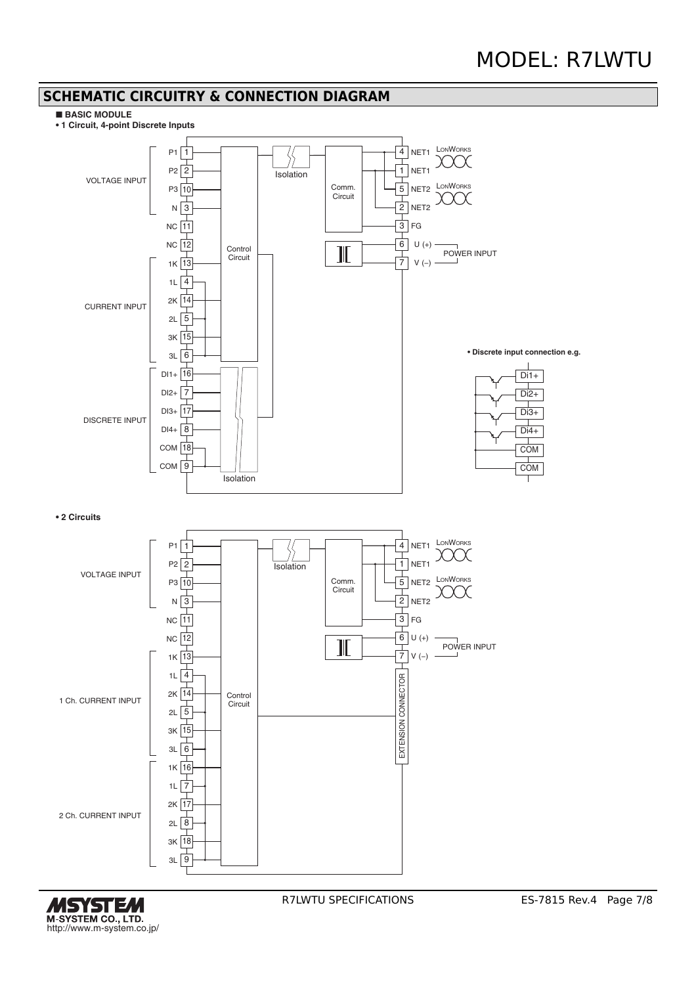### **SCHEMATIC CIRCUITRY & CONNECTION DIAGRAM**

#### ■ **BASIC MODULE**

**• 1 Circuit, 4-point Discrete Inputs**